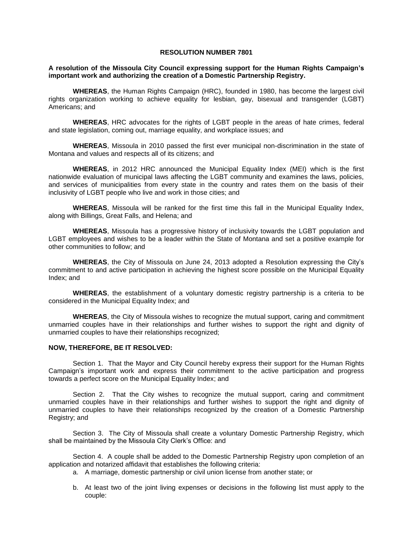### **RESOLUTION NUMBER 7801**

## **A resolution of the Missoula City Council expressing support for the Human Rights Campaign's important work and authorizing the creation of a Domestic Partnership Registry.**

**WHEREAS**, the Human Rights Campaign (HRC), founded in 1980, has become the largest civil rights organization working to achieve equality for lesbian, gay, bisexual and transgender (LGBT) Americans; and

**WHEREAS**, HRC advocates for the rights of LGBT people in the areas of hate crimes, federal and state legislation, coming out, marriage equality, and workplace issues; and

**WHEREAS**, Missoula in 2010 passed the first ever municipal non-discrimination in the state of Montana and values and respects all of its citizens; and

**WHEREAS**, in 2012 HRC announced the Municipal Equality Index (MEI) which is the first nationwide evaluation of municipal laws affecting the LGBT community and examines the laws, policies, and services of municipalities from every state in the country and rates them on the basis of their inclusivity of LGBT people who live and work in those cities; and

**WHEREAS**, Missoula will be ranked for the first time this fall in the Municipal Equality Index, along with Billings, Great Falls, and Helena; and

**WHEREAS**, Missoula has a progressive history of inclusivity towards the LGBT population and LGBT employees and wishes to be a leader within the State of Montana and set a positive example for other communities to follow; and

**WHEREAS**, the City of Missoula on June 24, 2013 adopted a Resolution expressing the City's commitment to and active participation in achieving the highest score possible on the Municipal Equality Index; and

**WHEREAS**, the establishment of a voluntary domestic registry partnership is a criteria to be considered in the Municipal Equality Index; and

**WHEREAS**, the City of Missoula wishes to recognize the mutual support, caring and commitment unmarried couples have in their relationships and further wishes to support the right and dignity of unmarried couples to have their relationships recognized;

### **NOW, THEREFORE, BE IT RESOLVED:**

Section 1. That the Mayor and City Council hereby express their support for the Human Rights Campaign's important work and express their commitment to the active participation and progress towards a perfect score on the Municipal Equality Index; and

Section 2. That the City wishes to recognize the mutual support, caring and commitment unmarried couples have in their relationships and further wishes to support the right and dignity of unmarried couples to have their relationships recognized by the creation of a Domestic Partnership Registry; and

Section 3. The City of Missoula shall create a voluntary Domestic Partnership Registry, which shall be maintained by the Missoula City Clerk's Office: and

Section 4. A couple shall be added to the Domestic Partnership Registry upon completion of an application and notarized affidavit that establishes the following criteria:

- a. A marriage, domestic partnership or civil union license from another state; or
- b. At least two of the joint living expenses or decisions in the following list must apply to the couple: